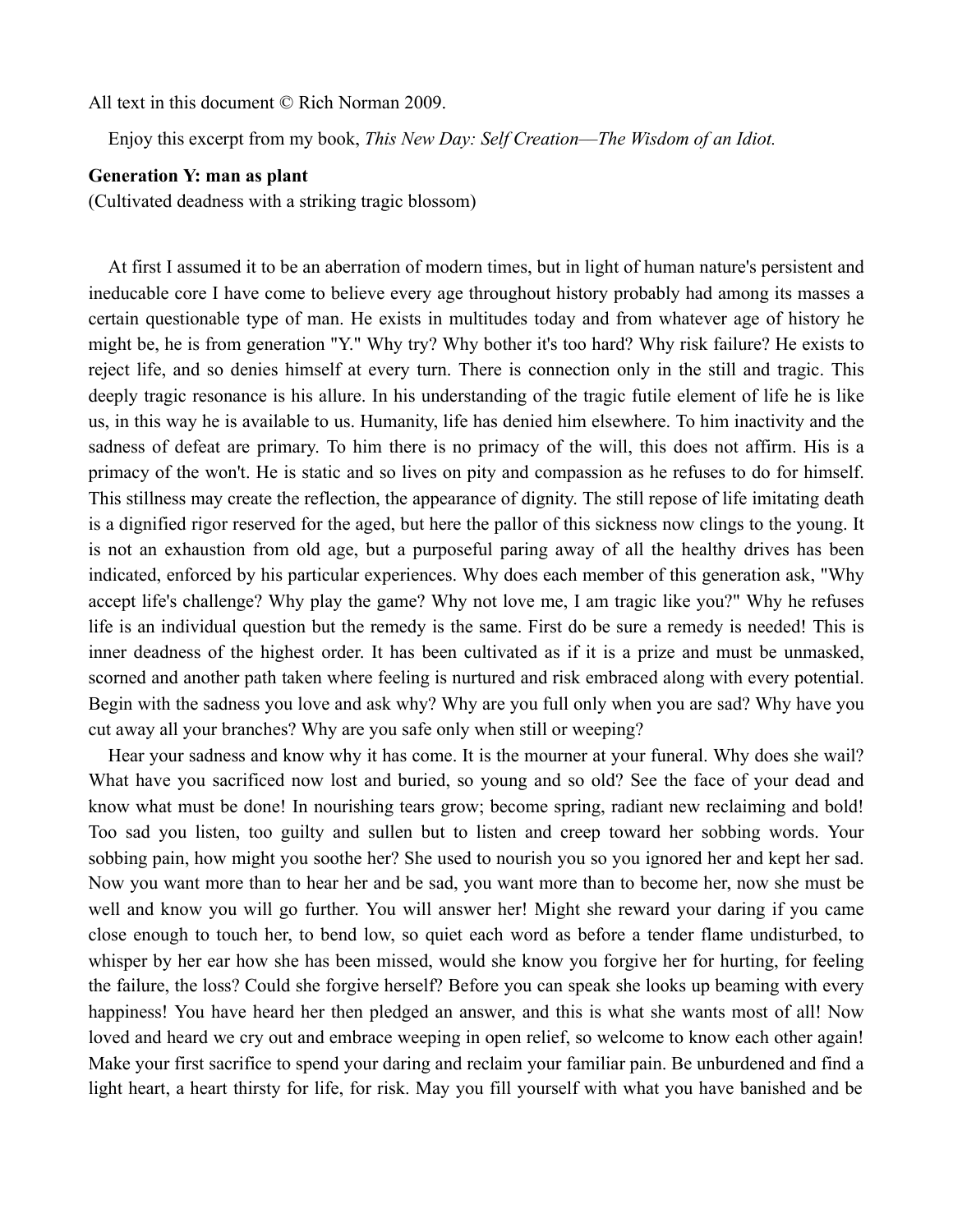All text in this document © Rich Norman 2009.

Enjoy this excerpt from my book, *This New Day: Self Creation––The Wisdom of an Idiot.*

## **Generation Y: man as plant**

(Cultivated deadness with a striking tragic blossom)

At first I assumed it to be an aberration of modern times, but in light of human nature's persistent and ineducable core I have come to believe every age throughout history probably had among its masses a certain questionable type of man. He exists in multitudes today and from whatever age of history he might be, he is from generation "Y." Why try? Why bother it's too hard? Why risk failure? He exists to reject life, and so denies himself at every turn. There is connection only in the still and tragic. This deeply tragic resonance is his allure. In his understanding of the tragic futile element of life he is like us, in this way he is available to us. Humanity, life has denied him elsewhere. To him inactivity and the sadness of defeat are primary. To him there is no primacy of the will, this does not affirm. His is a primacy of the won't. He is static and so lives on pity and compassion as he refuses to do for himself. This stillness may create the reflection, the appearance of dignity. The still repose of life imitating death is a dignified rigor reserved for the aged, but here the pallor of this sickness now clings to the young. It is not an exhaustion from old age, but a purposeful paring away of all the healthy drives has been indicated, enforced by his particular experiences. Why does each member of this generation ask, "Why accept life's challenge? Why play the game? Why not love me, I am tragic like you?" Why he refuses life is an individual question but the remedy is the same. First do be sure a remedy is needed! This is inner deadness of the highest order. It has been cultivated as if it is a prize and must be unmasked, scorned and another path taken where feeling is nurtured and risk embraced along with every potential. Begin with the sadness you love and ask why? Why are you full only when you are sad? Why have you cut away all your branches? Why are you safe only when still or weeping?

Hear your sadness and know why it has come. It is the mourner at your funeral. Why does she wail? What have you sacrificed now lost and buried, so young and so old? See the face of your dead and know what must be done! In nourishing tears grow; become spring, radiant new reclaiming and bold! Too sad you listen, too guilty and sullen but to listen and creep toward her sobbing words. Your sobbing pain, how might you soothe her? She used to nourish you so you ignored her and kept her sad. Now you want more than to hear her and be sad, you want more than to become her, now she must be well and know you will go further. You will answer her! Might she reward your daring if you came close enough to touch her, to bend low, so quiet each word as before a tender flame undisturbed, to whisper by her ear how she has been missed, would she know you forgive her for hurting, for feeling the failure, the loss? Could she forgive herself? Before you can speak she looks up beaming with every happiness! You have heard her then pledged an answer, and this is what she wants most of all! Now loved and heard we cry out and embrace weeping in open relief, so welcome to know each other again! Make your first sacrifice to spend your daring and reclaim your familiar pain. Be unburdened and find a light heart, a heart thirsty for life, for risk. May you fill yourself with what you have banished and be